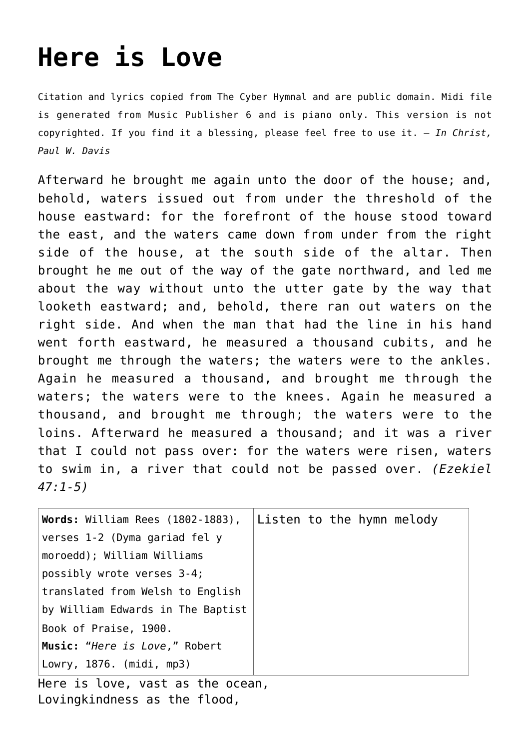## **[Here is Love](http://reproachofmen.org/hymns-and-music/here-is-love/)**

Citation and lyrics copied from [The Cyber Hymnal](http://www.hymntime.com/tch/index.htm) and are public domain. Midi file is generated from Music Publisher 6 and is piano only. This version is not copyrighted. If you find it a blessing, please feel free to use it. — *In Christ, Paul W. Davis*

Afterward he brought me again unto the door of the house; and, behold, waters issued out from under the threshold of the house eastward: for the forefront of the house stood toward the east, and the waters came down from under from the right side of the house, at the south side of the altar. Then brought he me out of the way of the gate northward, and led me about the way without unto the utter gate by the way that looketh eastward; and, behold, there ran out waters on the right side. And when the man that had the line in his hand went forth eastward, he measured a thousand cubits, and he brought me through the waters; the waters were to the ankles. Again he measured a thousand, and brought me through the waters; the waters were to the knees. Again he measured a thousand, and brought me through; the waters were to the loins. Afterward he measured a thousand; and it was a river that I could not pass over: for the waters were risen, waters to swim in, a river that could not be passed over. *(Ezekiel 47:1-5)*

| Words: William Rees (1802-1883),  | Listen to the hymn melody |
|-----------------------------------|---------------------------|
| verses 1-2 (Dyma gariad fel y     |                           |
| moroedd); William Williams        |                           |
| possibly wrote verses 3-4;        |                           |
| translated from Welsh to English  |                           |
| by William Edwards in The Baptist |                           |
| Book of Praise, 1900.             |                           |
| Music: "Here is Love," Robert     |                           |
| Lowry, 1876. (midi, mp3)          |                           |
| Hess in Iaus.                     |                           |

Here is love, vast as the ocean, Lovingkindness as the flood,